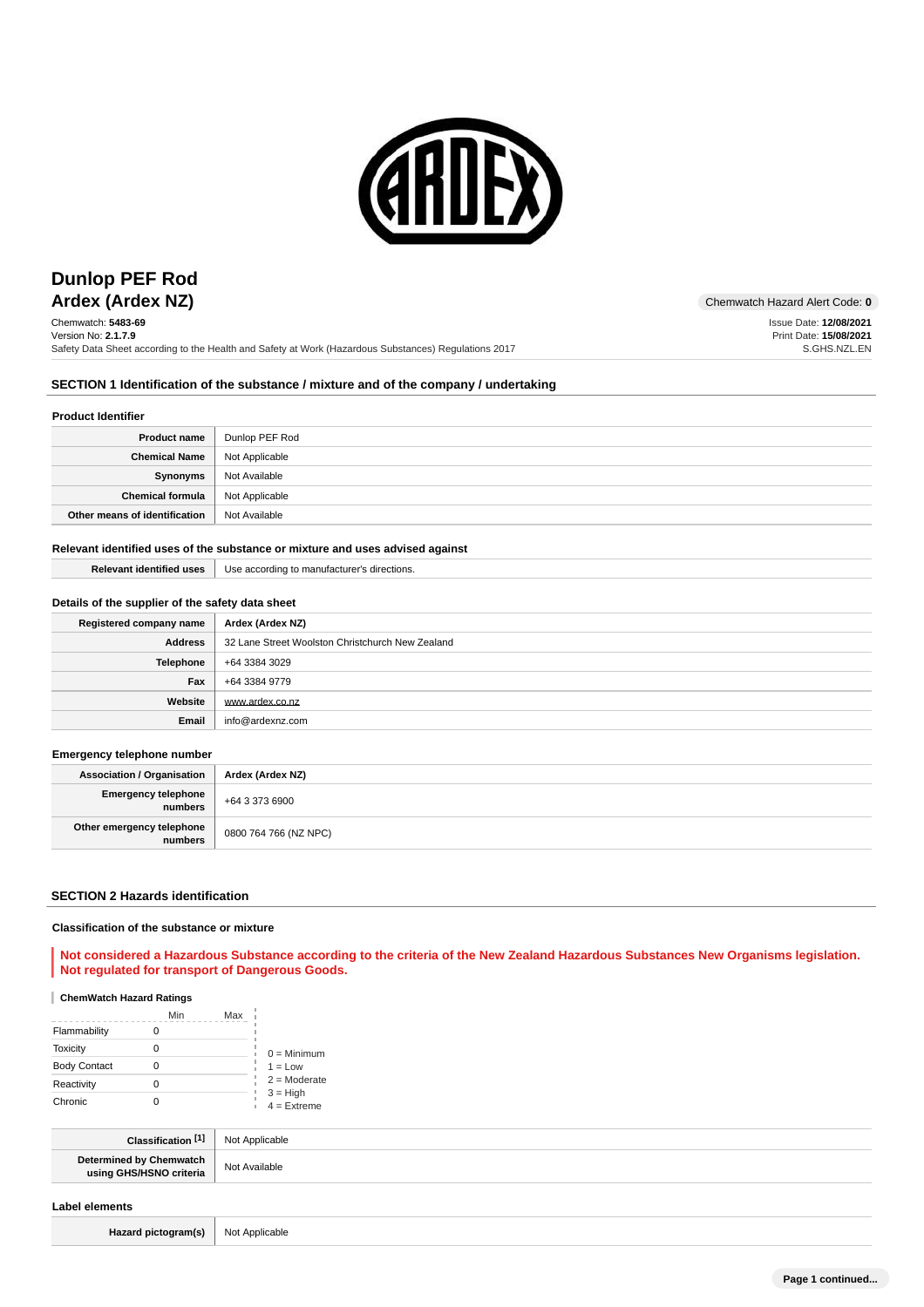

## **Ardex (Ardex NZ)** Chemwatch Hazard Alert Code: 0 **Dunlop PEF Rod**

Chemwatch: **5483-69** Version No: **2.1.7.9** Safety Data Sheet according to the Health and Safety at Work (Hazardous Substances) Regulations 2017 Issue Date: **12/08/2021**

Print Date: **15/08/2021** S.GHS.NZL.EN

### **SECTION 1 Identification of the substance / mixture and of the company / undertaking**

#### **Product Identifier**

| <b>Product name</b>           | Dunlop PEF Rod |
|-------------------------------|----------------|
| <b>Chemical Name</b>          | Not Applicable |
| Synonyms                      | Not Available  |
| <b>Chemical formula</b>       | Not Applicable |
| Other means of identification | Not Available  |

### **Relevant identified uses of the substance or mixture and uses advised against**

| <b>Relevant identified uses</b> | Use according to manufacturer's directions. |
|---------------------------------|---------------------------------------------|
|                                 |                                             |

### **Details of the supplier of the safety data sheet**

| Registered company name | Ardex (Ardex NZ)                                 |
|-------------------------|--------------------------------------------------|
| <b>Address</b>          | 32 Lane Street Woolston Christchurch New Zealand |
| Telephone               | +64 3384 3029                                    |
| Fax                     | +64 3384 9779                                    |
| Website                 | www.ardex.co.nz                                  |
| Email                   | info@ardexnz.com                                 |

### **Emergency telephone number**

| <b>Association / Organisation</b>    | Ardex (Ardex NZ)      |
|--------------------------------------|-----------------------|
| Emergency telephone<br>numbers       | +64 3 373 6900        |
| Other emergency telephone<br>numbers | 0800 764 766 (NZ NPC) |

#### **SECTION 2 Hazards identification**

#### **Classification of the substance or mixture**

### **Not considered a Hazardous Substance according to the criteria of the New Zealand Hazardous Substances New Organisms legislation. Not regulated for transport of Dangerous Goods.**

### **ChemWatch Hazard Ratings**

|                     | Min | Max |                             |
|---------------------|-----|-----|-----------------------------|
| Flammability        |     |     |                             |
| Toxicity            |     |     | $0 =$ Minimum               |
| <b>Body Contact</b> | 0   |     | $1 = Low$                   |
| Reactivity          |     |     | $2 =$ Moderate              |
| Chronic             |     |     | $3 = High$<br>$4 =$ Extreme |

| <b>F41</b>              | licable<br>No   |
|-------------------------|-----------------|
| Determined by Chemwatch | .ilohl <i>r</i> |
| ALCOHOLIST CHECK        | ⊶u⊪d∪r≂         |

### **Label elements**

Hazard pictogram(s) Not Applicable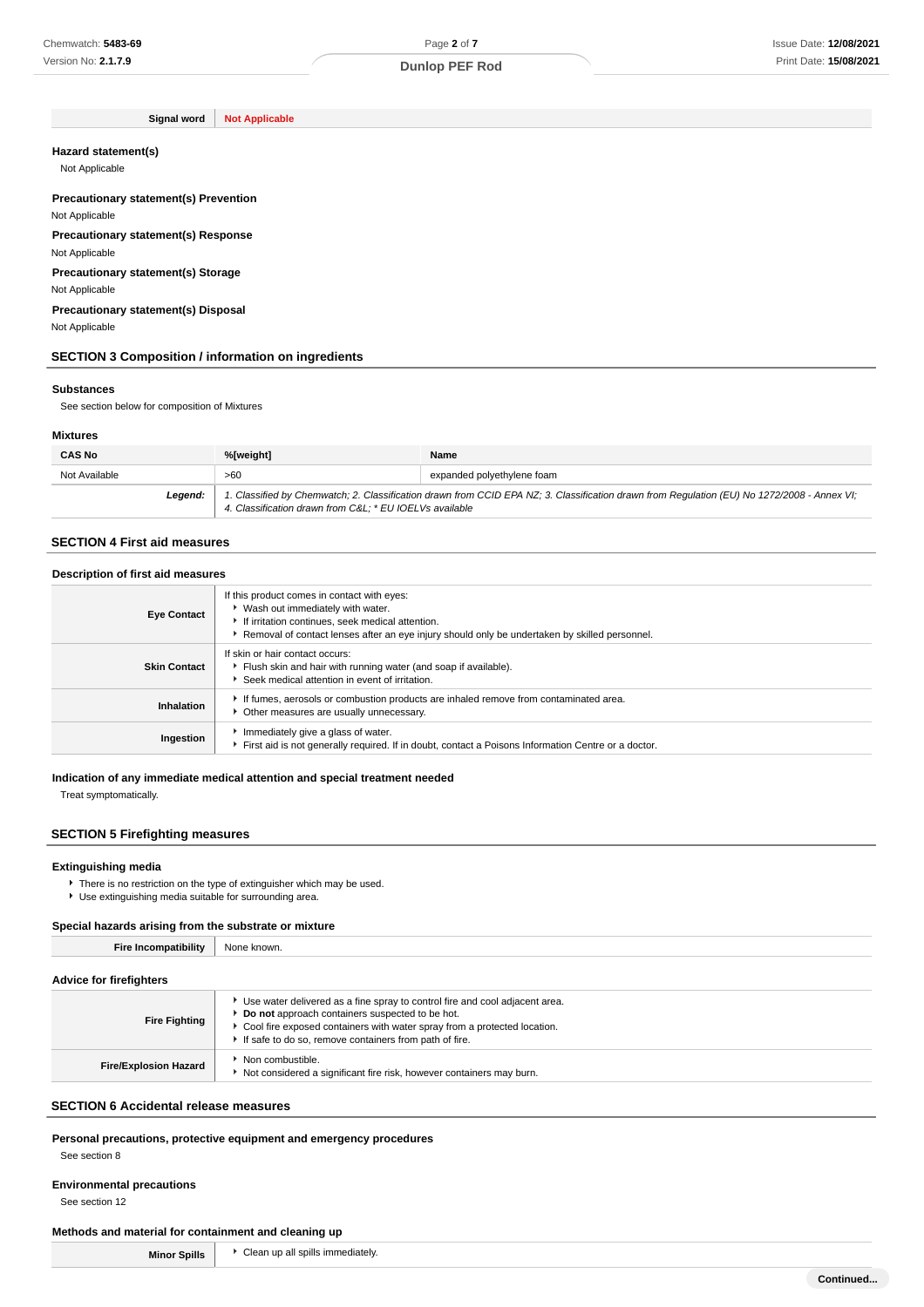Page **2** of **7**

**Signal word Not Applicable**

#### **Hazard statement(s)**

Not Applicable

#### **Precautionary statement(s) Prevention** Not Applicable

**Precautionary statement(s) Response**

Not Applicable

**Precautionary statement(s) Storage** Not Applicable

**Precautionary statement(s) Disposal**

Not Applicable

### **SECTION 3 Composition / information on ingredients**

#### **Substances**

See section below for composition of Mixtures

### **Mixtures**

| <b>CAS No</b> | %[weight]                                                                                                                                                                                             | Name                       |
|---------------|-------------------------------------------------------------------------------------------------------------------------------------------------------------------------------------------------------|----------------------------|
| Not Available | >60                                                                                                                                                                                                   | expanded polyethylene foam |
| Legend:       | 1. Classified by Chemwatch; 2. Classification drawn from CCID EPA NZ; 3. Classification drawn from Regulation (EU) No 1272/2008 - Annex VI;<br>4. Classification drawn from C&L * EU IOELVs available |                            |

### **SECTION 4 First aid measures**

| Description of first aid measures |                                                                                                                                                                                                                                        |  |
|-----------------------------------|----------------------------------------------------------------------------------------------------------------------------------------------------------------------------------------------------------------------------------------|--|
| <b>Eye Contact</b>                | If this product comes in contact with eyes:<br>▶ Wash out immediately with water.<br>If irritation continues, seek medical attention.<br>Removal of contact lenses after an eye injury should only be undertaken by skilled personnel. |  |
| <b>Skin Contact</b>               | If skin or hair contact occurs:<br>Filush skin and hair with running water (and soap if available).<br>Seek medical attention in event of irritation.                                                                                  |  |
| Inhalation                        | If fumes, aerosols or combustion products are inhaled remove from contaminated area.<br>• Other measures are usually unnecessary.                                                                                                      |  |
| Ingestion                         | Immediately give a glass of water.<br>First aid is not generally required. If in doubt, contact a Poisons Information Centre or a doctor.                                                                                              |  |

### **Indication of any immediate medical attention and special treatment needed**

Treat symptomatically.

### **SECTION 5 Firefighting measures**

### **Extinguishing media**

There is no restriction on the type of extinguisher which may be used. Use extinguishing media suitable for surrounding area.

### **Special hazards arising from the substrate or mixture**

**Fire Incompatibility** None known.

### **Advice for firefighters**

| <b>Fire Fighting</b>         | Use water delivered as a fine spray to control fire and cool adjacent area.<br>Do not approach containers suspected to be hot.<br>Cool fire exposed containers with water spray from a protected location.<br>If safe to do so, remove containers from path of fire. |
|------------------------------|----------------------------------------------------------------------------------------------------------------------------------------------------------------------------------------------------------------------------------------------------------------------|
| <b>Fire/Explosion Hazard</b> | Non combustible.<br>Not considered a significant fire risk, however containers may burn.                                                                                                                                                                             |

#### **SECTION 6 Accidental release measures**

# **Personal precautions, protective equipment and emergency procedures**

See section 8

## **Environmental precautions**

See section 12

### **Methods and material for containment and cleaning up**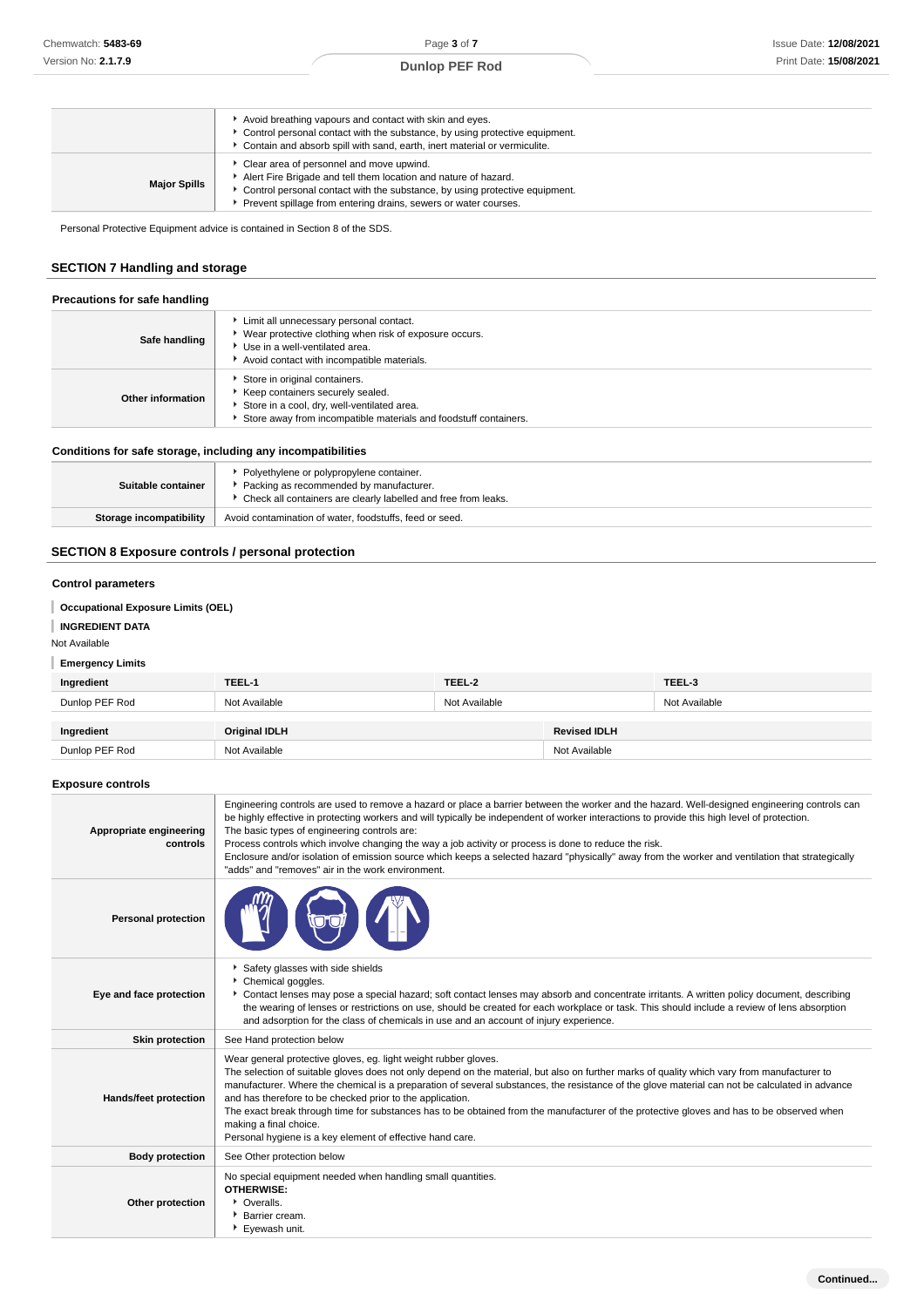|                     | Avoid breathing vapours and contact with skin and eyes.<br>Control personal contact with the substance, by using protective equipment.<br>Contain and absorb spill with sand, earth, inert material or vermiculite.                                             |
|---------------------|-----------------------------------------------------------------------------------------------------------------------------------------------------------------------------------------------------------------------------------------------------------------|
| <b>Major Spills</b> | • Clear area of personnel and move upwind.<br>Alert Fire Brigade and tell them location and nature of hazard.<br>Control personal contact with the substance, by using protective equipment.<br>Prevent spillage from entering drains, sewers or water courses. |

Personal Protective Equipment advice is contained in Section 8 of the SDS.

### **SECTION 7 Handling and storage**

| Precautions for safe handling |                                                                                                                                                                                        |  |
|-------------------------------|----------------------------------------------------------------------------------------------------------------------------------------------------------------------------------------|--|
| Safe handling                 | Limit all unnecessary personal contact.<br>▶ Wear protective clothing when risk of exposure occurs.<br>Use in a well-ventilated area.<br>Avoid contact with incompatible materials.    |  |
| Other information             | Store in original containers.<br>▶ Keep containers securely sealed.<br>Store in a cool, dry, well-ventilated area.<br>Store away from incompatible materials and foodstuff containers. |  |

### **Conditions for safe storage, including any incompatibilities**

| Suitable container      | ▶ Polyethylene or polypropylene container.<br>▶ Packing as recommended by manufacturer.<br>▶ Check all containers are clearly labelled and free from leaks. |
|-------------------------|-------------------------------------------------------------------------------------------------------------------------------------------------------------|
| Storage incompatibility | Avoid contamination of water, foodstuffs, feed or seed.                                                                                                     |

## **SECTION 8 Exposure controls / personal protection**

### **Control parameters**

**Occupational Exposure Limits (OEL)**

### **INGREDIENT DATA**

Not Available

### **Emergency Limits**

| Ingredient     | TEEL-1               | TEEL-2        |                     | TEEL-3        |
|----------------|----------------------|---------------|---------------------|---------------|
| Dunlop PEF Rod | Not Available        | Not Available |                     | Not Available |
|                |                      |               |                     |               |
| Ingredient     | <b>Original IDLH</b> |               | <b>Revised IDLH</b> |               |
| Dunlop PEF Rod | Not Available        |               | Not Available       |               |

### **Exposure controls**

| Appropriate engineering<br>controls | Engineering controls are used to remove a hazard or place a barrier between the worker and the hazard. Well-designed engineering controls can<br>be highly effective in protecting workers and will typically be independent of worker interactions to provide this high level of protection.<br>The basic types of engineering controls are:<br>Process controls which involve changing the way a job activity or process is done to reduce the risk.<br>Enclosure and/or isolation of emission source which keeps a selected hazard "physically" away from the worker and ventilation that strategically<br>"adds" and "removes" air in the work environment.   |
|-------------------------------------|-------------------------------------------------------------------------------------------------------------------------------------------------------------------------------------------------------------------------------------------------------------------------------------------------------------------------------------------------------------------------------------------------------------------------------------------------------------------------------------------------------------------------------------------------------------------------------------------------------------------------------------------------------------------|
| <b>Personal protection</b>          |                                                                                                                                                                                                                                                                                                                                                                                                                                                                                                                                                                                                                                                                   |
| Eye and face protection             | Safety glasses with side shields<br>Chemical goggles.<br>Contact lenses may pose a special hazard; soft contact lenses may absorb and concentrate irritants. A written policy document, describing<br>the wearing of lenses or restrictions on use, should be created for each workplace or task. This should include a review of lens absorption<br>and adsorption for the class of chemicals in use and an account of injury experience.                                                                                                                                                                                                                        |
| <b>Skin protection</b>              | See Hand protection below                                                                                                                                                                                                                                                                                                                                                                                                                                                                                                                                                                                                                                         |
| <b>Hands/feet protection</b>        | Wear general protective gloves, eg. light weight rubber gloves.<br>The selection of suitable gloves does not only depend on the material, but also on further marks of quality which vary from manufacturer to<br>manufacturer. Where the chemical is a preparation of several substances, the resistance of the glove material can not be calculated in advance<br>and has therefore to be checked prior to the application.<br>The exact break through time for substances has to be obtained from the manufacturer of the protective gloves and has to be observed when<br>making a final choice.<br>Personal hygiene is a key element of effective hand care. |
| <b>Body protection</b>              | See Other protection below                                                                                                                                                                                                                                                                                                                                                                                                                                                                                                                                                                                                                                        |
| Other protection                    | No special equipment needed when handling small quantities.<br><b>OTHERWISE:</b><br>• Overalls.<br>▶ Barrier cream.<br>Eyewash unit.                                                                                                                                                                                                                                                                                                                                                                                                                                                                                                                              |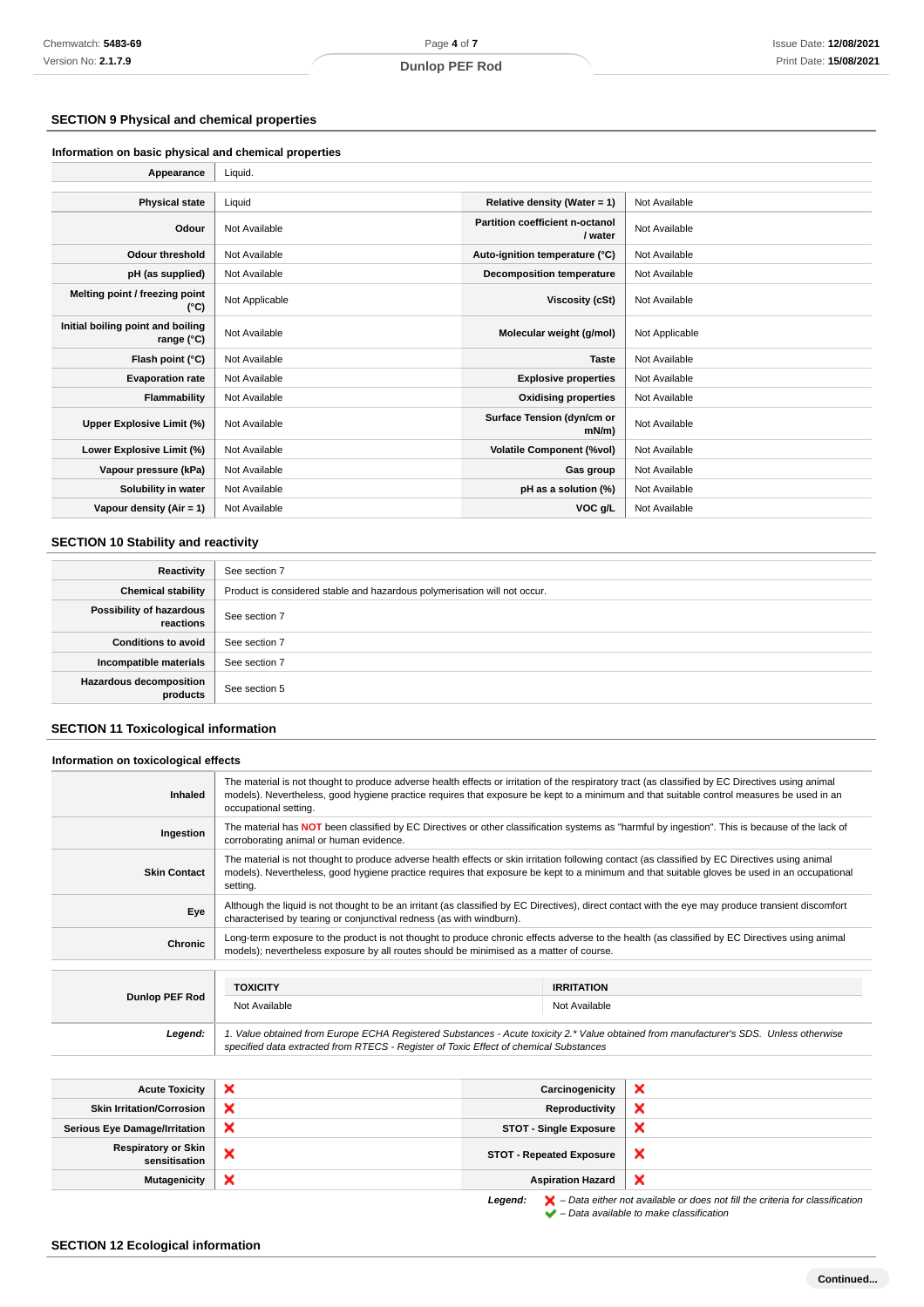### **SECTION 9 Physical and chemical properties**

**Information on basic physical and chemical properties**

| Appearance                                      | Liquid.        |                                            |                |
|-------------------------------------------------|----------------|--------------------------------------------|----------------|
|                                                 |                |                                            |                |
| <b>Physical state</b>                           | Liquid         | Relative density (Water = 1)               | Not Available  |
| Odour                                           | Not Available  | Partition coefficient n-octanol<br>/ water | Not Available  |
| <b>Odour threshold</b>                          | Not Available  | Auto-ignition temperature (°C)             | Not Available  |
| pH (as supplied)                                | Not Available  | <b>Decomposition temperature</b>           | Not Available  |
| Melting point / freezing point<br>(°C)          | Not Applicable | Viscosity (cSt)                            | Not Available  |
| Initial boiling point and boiling<br>range (°C) | Not Available  | Molecular weight (g/mol)                   | Not Applicable |
| Flash point (°C)                                | Not Available  | <b>Taste</b>                               | Not Available  |
| <b>Evaporation rate</b>                         | Not Available  | <b>Explosive properties</b>                | Not Available  |
| Flammability                                    | Not Available  | <b>Oxidising properties</b>                | Not Available  |
| Upper Explosive Limit (%)                       | Not Available  | Surface Tension (dyn/cm or<br>mN/m         | Not Available  |
| Lower Explosive Limit (%)                       | Not Available  | <b>Volatile Component (%vol)</b>           | Not Available  |
| Vapour pressure (kPa)                           | Not Available  | Gas group                                  | Not Available  |
| Solubility in water                             | Not Available  | pH as a solution (%)                       | Not Available  |
| Vapour density $(Air = 1)$                      | Not Available  | VOC g/L                                    | Not Available  |

### **SECTION 10 Stability and reactivity**

| Reactivity                                 | See section 7                                                             |
|--------------------------------------------|---------------------------------------------------------------------------|
| <b>Chemical stability</b>                  | Product is considered stable and hazardous polymerisation will not occur. |
| Possibility of hazardous<br>reactions      | See section 7                                                             |
| <b>Conditions to avoid</b>                 | See section 7                                                             |
| Incompatible materials                     | See section 7                                                             |
| <b>Hazardous decomposition</b><br>products | See section 5                                                             |

### **SECTION 11 Toxicological information**

**Information on toxicological effects**

| Inhaled                              | The material is not thought to produce adverse health effects or irritation of the respiratory tract (as classified by EC Directives using animal<br>models). Nevertheless, good hygiene practice requires that exposure be kept to a minimum and that suitable control measures be used in an<br>occupational setting. |                               |                   |   |
|--------------------------------------|-------------------------------------------------------------------------------------------------------------------------------------------------------------------------------------------------------------------------------------------------------------------------------------------------------------------------|-------------------------------|-------------------|---|
| Ingestion                            | The material has NOT been classified by EC Directives or other classification systems as "harmful by ingestion". This is because of the lack of<br>corroborating animal or human evidence.                                                                                                                              |                               |                   |   |
| <b>Skin Contact</b>                  | The material is not thought to produce adverse health effects or skin irritation following contact (as classified by EC Directives using animal<br>models). Nevertheless, good hygiene practice requires that exposure be kept to a minimum and that suitable gloves be used in an occupational<br>setting.             |                               |                   |   |
| Eye                                  | Although the liquid is not thought to be an irritant (as classified by EC Directives), direct contact with the eye may produce transient discomfort<br>characterised by tearing or conjunctival redness (as with windburn).                                                                                             |                               |                   |   |
| <b>Chronic</b>                       | Long-term exposure to the product is not thought to produce chronic effects adverse to the health (as classified by EC Directives using animal<br>models); nevertheless exposure by all routes should be minimised as a matter of course.                                                                               |                               |                   |   |
|                                      | <b>TOXICITY</b>                                                                                                                                                                                                                                                                                                         |                               | <b>IRRITATION</b> |   |
| Dunlop PEF Rod                       | Not Available<br>Not Available                                                                                                                                                                                                                                                                                          |                               |                   |   |
| Legend:                              | 1. Value obtained from Europe ECHA Registered Substances - Acute toxicity 2.* Value obtained from manufacturer's SDS. Unless otherwise<br>specified data extracted from RTECS - Register of Toxic Effect of chemical Substances                                                                                         |                               |                   |   |
|                                      |                                                                                                                                                                                                                                                                                                                         |                               |                   |   |
| <b>Acute Toxicity</b>                | ×                                                                                                                                                                                                                                                                                                                       |                               | Carcinogenicity   | × |
| <b>Skin Irritation/Corrosion</b>     | ×                                                                                                                                                                                                                                                                                                                       |                               | Reproductivity    | × |
| <b>Serious Eye Damage/Irritation</b> | ×                                                                                                                                                                                                                                                                                                                       | <b>STOT - Single Exposure</b> |                   | × |

**x** STOT - Repeated Exposure

**Mutagenicity X Aspiration Hazard Aspiration Hazard** 

**Legend:**  $\mathbf{X}$  – Data either not available or does not fill the criteria for classification – Data available to make classification

 $\pmb{\times}$ 

### **SECTION 12 Ecological information**

**Respiratory or Skin**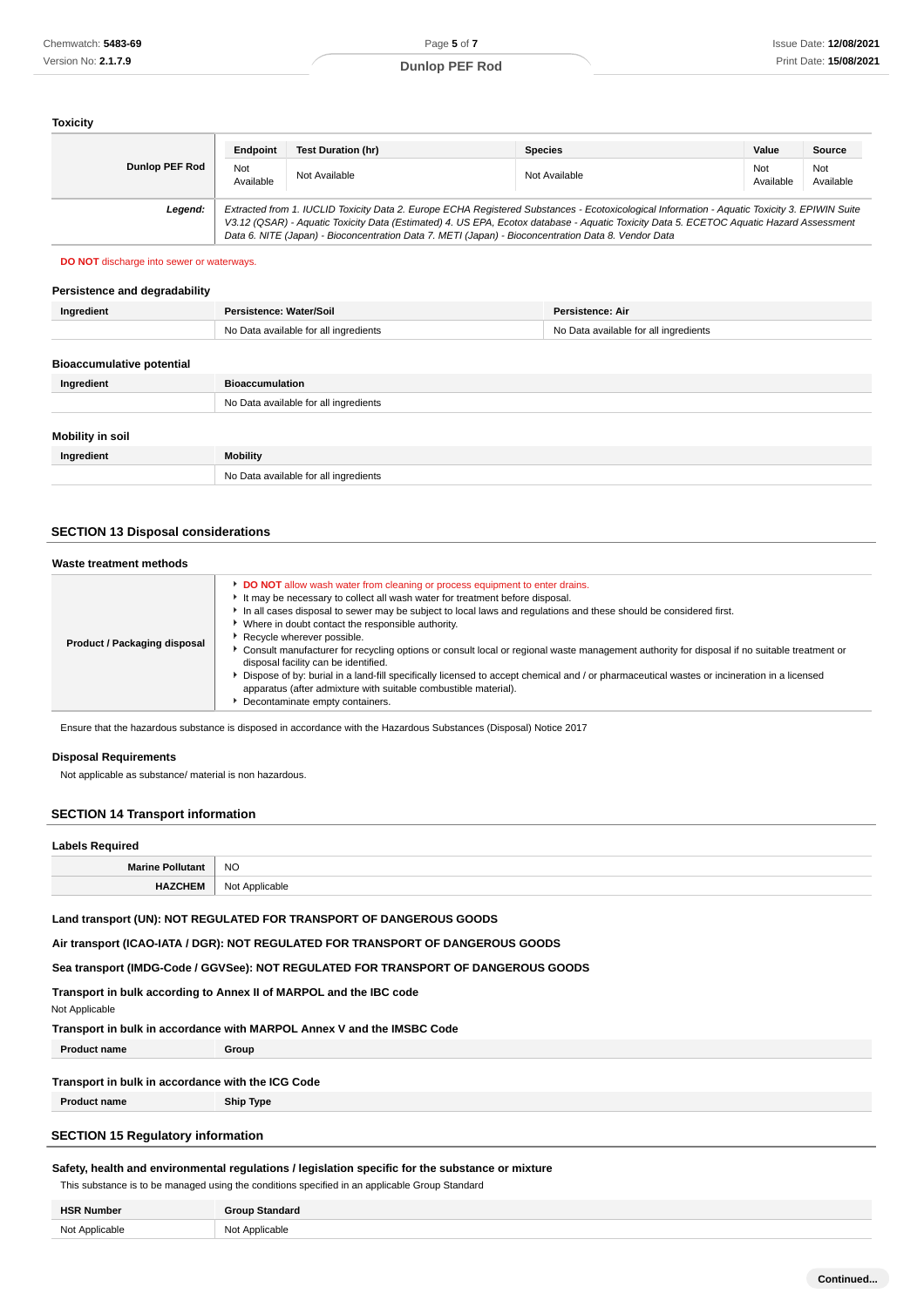### **Toxicity**

|                       | Endpoint         | <b>Test Duration (hr)</b>                                                                           | <b>Species</b>                                                                                                                                                                                                                                                                           | Value            | <b>Source</b>    |
|-----------------------|------------------|-----------------------------------------------------------------------------------------------------|------------------------------------------------------------------------------------------------------------------------------------------------------------------------------------------------------------------------------------------------------------------------------------------|------------------|------------------|
| <b>Dunlop PEF Rod</b> | Not<br>Available | Not Available                                                                                       | Not Available                                                                                                                                                                                                                                                                            | Not<br>Available | Not<br>Available |
| Legend:               |                  | Data 6. NITE (Japan) - Bioconcentration Data 7. METI (Japan) - Bioconcentration Data 8. Vendor Data | Extracted from 1. IUCLID Toxicity Data 2. Europe ECHA Registered Substances - Ecotoxicological Information - Aquatic Toxicity 3. EPIWIN Suite<br>V3.12 (QSAR) - Aquatic Toxicity Data (Estimated) 4. US EPA, Ecotox database - Aquatic Toxicity Data 5. ECETOC Aquatic Hazard Assessment |                  |                  |

**DO NOT** discharge into sewer or waterways.

### **Persistence and degradability**

| Ingredient                       | Persistence: Water/Soil               | <b>Persistence: Air</b>               |
|----------------------------------|---------------------------------------|---------------------------------------|
|                                  | No Data available for all ingredients | No Data available for all ingredients |
|                                  |                                       |                                       |
| <b>Bioaccumulative potential</b> |                                       |                                       |
| Ingredient                       | <b>Bioaccumulation</b>                |                                       |
|                                  | No Data available for all ingredients |                                       |
|                                  |                                       |                                       |
| Mobility in soil                 |                                       |                                       |
| Ingredient                       | <b>Mobility</b>                       |                                       |
|                                  | No Data available for all ingredients |                                       |

### **SECTION 13 Disposal considerations**

#### **Waste treatment methods**

|--|

Ensure that the hazardous substance is disposed in accordance with the Hazardous Substances (Disposal) Notice 2017

### **Disposal Requirements**

Not applicable as substance/ material is non hazardous.

#### **SECTION 14 Transport information**

| <b>Labels Required</b>  |                |
|-------------------------|----------------|
| <b>Marine Pollutant</b> | <b>NO</b>      |
| <b>HAZCHEM</b>          | Not Applicable |

**Land transport (UN): NOT REGULATED FOR TRANSPORT OF DANGEROUS GOODS**

**Air transport (ICAO-IATA / DGR): NOT REGULATED FOR TRANSPORT OF DANGEROUS GOODS**

**Sea transport (IMDG-Code / GGVSee): NOT REGULATED FOR TRANSPORT OF DANGEROUS GOODS**

**Transport in bulk according to Annex II of MARPOL and the IBC code**

Not Applicable

**Transport in bulk in accordance with MARPOL Annex V and the IMSBC Code**

**Product name Group**

### **Transport in bulk in accordance with the ICG Code**

**Product name Ship Type**

### **SECTION 15 Regulatory information**

### **Safety, health and environmental regulations / legislation specific for the substance or mixture**

This substance is to be managed using the conditions specified in an applicable Group Standard

| <b>HSR Number</b> | Standard<br>200100 |
|-------------------|--------------------|
| Not Annlicable    | Not Applicable     |
| . VV .            | .                  |
| .                 | $\sim$ $\sim$      |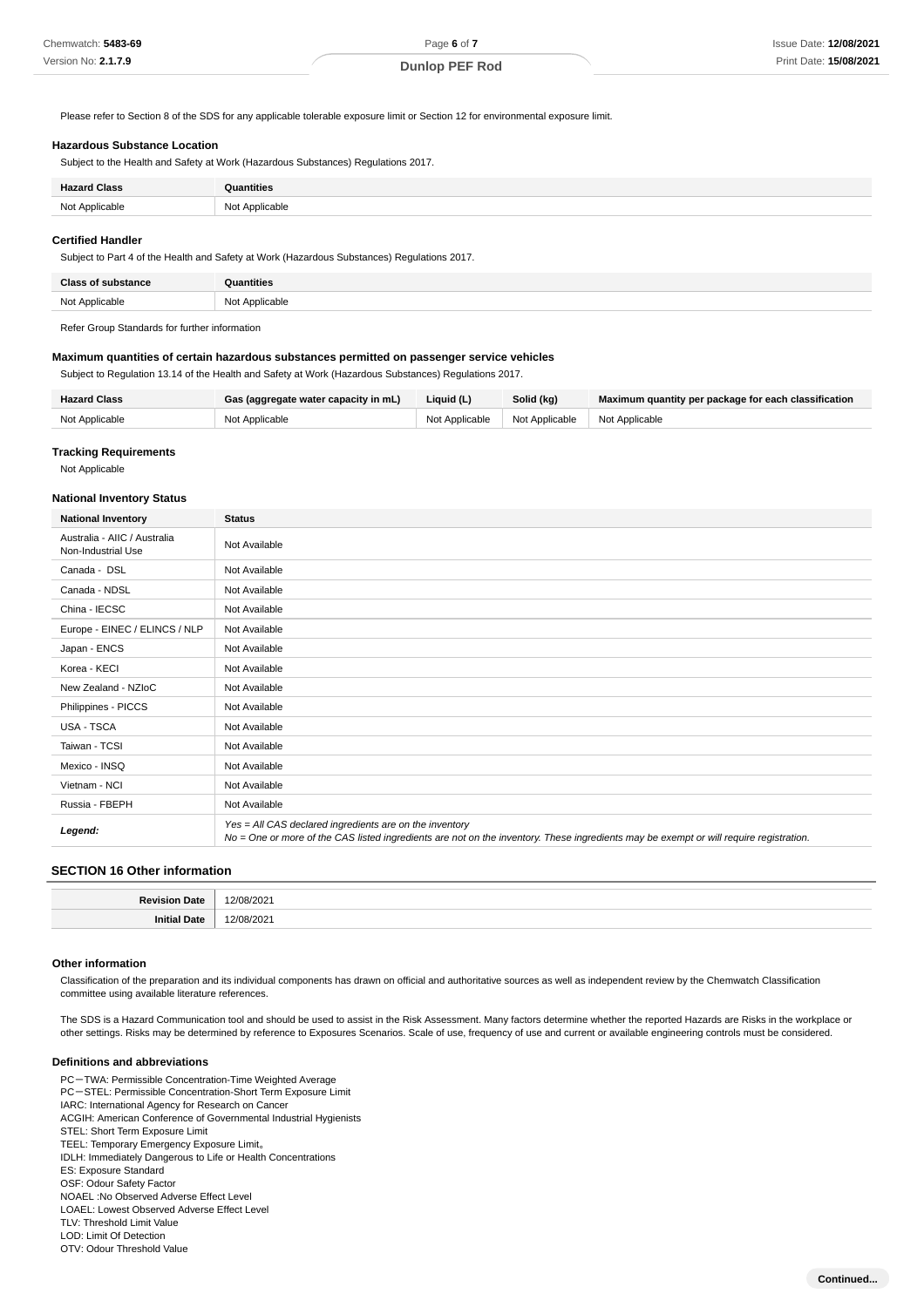Please refer to Section 8 of the SDS for any applicable tolerable exposure limit or Section 12 for environmental exposure limit.

### **Hazardous Substance Location**

Subject to the Health and Safety at Work (Hazardous Substances) Regulations 2017.

| <b>Hazard Class</b> | <b>Quantities</b> |
|---------------------|-------------------|
| Not Applicable      | Not Applicable    |

#### **Certified Handler**

Subject to Part 4 of the Health and Safety at Work (Hazardous Substances) Regulations 2017.

| Class<br>'ance<br>. eu k | Quantities     |
|--------------------------|----------------|
| Not Applicable           | Not Applicable |
|                          |                |

Refer Group Standards for further information

### **Maximum quantities of certain hazardous substances permitted on passenger service vehicles**

Subject to Regulation 13.14 of the Health and Safety at Work (Hazardous Substances) Regulations 2017.

| <b>Hazard Class</b> | Gas (aggregate water capacity in mL) | Liquid (L)     | Solid (kg)                      | Maximum quantity per package for each classification |
|---------------------|--------------------------------------|----------------|---------------------------------|------------------------------------------------------|
| Not Applicable      | Not Applicable                       | Not Applicable | Not Applicable   Not Applicable |                                                      |

#### **Tracking Requirements**

Not Applicable

#### **National Inventory Status**

| <b>National Inventory</b>                          | <b>Status</b>                                                                                                                                                                                     |
|----------------------------------------------------|---------------------------------------------------------------------------------------------------------------------------------------------------------------------------------------------------|
| Australia - AIIC / Australia<br>Non-Industrial Use | Not Available                                                                                                                                                                                     |
| Canada - DSL                                       | Not Available                                                                                                                                                                                     |
| Canada - NDSL                                      | Not Available                                                                                                                                                                                     |
| China - IECSC                                      | Not Available                                                                                                                                                                                     |
| Europe - EINEC / ELINCS / NLP                      | Not Available                                                                                                                                                                                     |
| Japan - ENCS                                       | Not Available                                                                                                                                                                                     |
| Korea - KECI                                       | Not Available                                                                                                                                                                                     |
| New Zealand - NZloC                                | Not Available                                                                                                                                                                                     |
| Philippines - PICCS                                | Not Available                                                                                                                                                                                     |
| <b>USA - TSCA</b>                                  | Not Available                                                                                                                                                                                     |
| Taiwan - TCSI                                      | Not Available                                                                                                                                                                                     |
| Mexico - INSQ                                      | Not Available                                                                                                                                                                                     |
| Vietnam - NCI                                      | Not Available                                                                                                                                                                                     |
| Russia - FBEPH                                     | Not Available                                                                                                                                                                                     |
| Legend:                                            | Yes = All CAS declared ingredients are on the inventory<br>No = One or more of the CAS listed ingredients are not on the inventory. These ingredients may be exempt or will require registration. |

#### **SECTION 16 Other information**

| ני א |  |
|------|--|
|      |  |

#### **Other information**

Classification of the preparation and its individual components has drawn on official and authoritative sources as well as independent review by the Chemwatch Classification committee using available literature references.

The SDS is a Hazard Communication tool and should be used to assist in the Risk Assessment. Many factors determine whether the reported Hazards are Risks in the workplace or other settings. Risks may be determined by reference to Exposures Scenarios. Scale of use, frequency of use and current or available engineering controls must be considered.

### **Definitions and abbreviations**

PC-TWA: Permissible Concentration-Time Weighted Average PC-STEL: Permissible Concentration-Short Term Exposure Limit IARC: International Agency for Research on Cancer ACGIH: American Conference of Governmental Industrial Hygienists STEL: Short Term Exposure Limit TEEL: Temporary Emergency Exposure Limit。 IDLH: Immediately Dangerous to Life or Health Concentrations ES: Exposure Standard OSF: Odour Safety Factor NOAEL :No Observed Adverse Effect Level LOAEL: Lowest Observed Adverse Effect Level TLV: Threshold Limit Value LOD: Limit Of Detection OTV: Odour Threshold Value